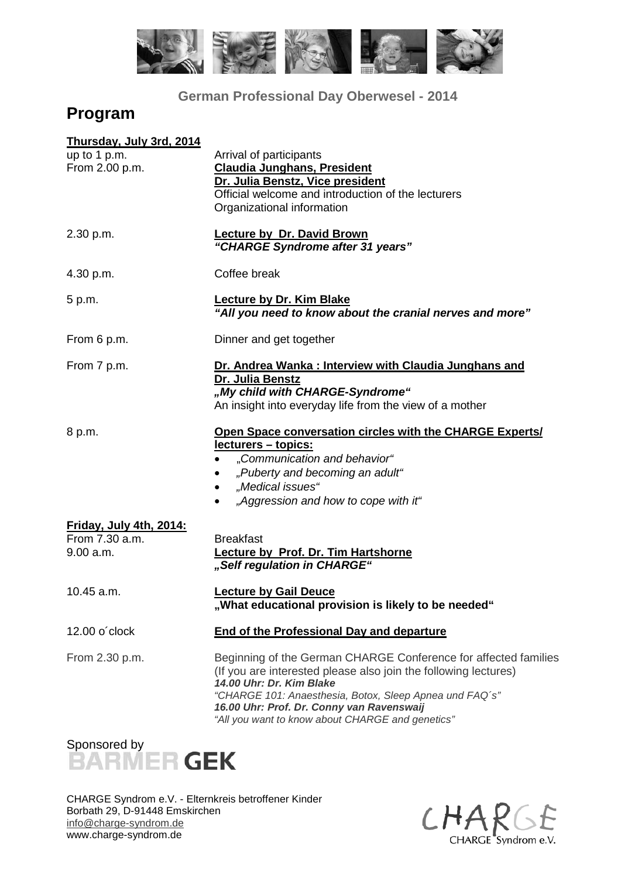

**German Professional Day Oberwesel - 2014**

# **Program**

| Arrival of participants<br><b>Claudia Junghans, President</b><br>Dr. Julia Benstz, Vice president<br>Official welcome and introduction of the lecturers<br>Organizational information                                                                                                                                      |  |  |
|----------------------------------------------------------------------------------------------------------------------------------------------------------------------------------------------------------------------------------------------------------------------------------------------------------------------------|--|--|
| Lecture by Dr. David Brown<br>"CHARGE Syndrome after 31 years"                                                                                                                                                                                                                                                             |  |  |
| Coffee break                                                                                                                                                                                                                                                                                                               |  |  |
| <b>Lecture by Dr. Kim Blake</b><br>"All you need to know about the cranial nerves and more"                                                                                                                                                                                                                                |  |  |
| Dinner and get together                                                                                                                                                                                                                                                                                                    |  |  |
| Dr. Andrea Wanka: Interview with Claudia Junghans and<br>Dr. Julia Benstz<br>"My child with CHARGE-Syndrome"<br>An insight into everyday life from the view of a mother                                                                                                                                                    |  |  |
| Open Space conversation circles with the CHARGE Experts/<br><u>lecturers – topics:</u><br>"Communication and behavior"<br>"Puberty and becoming an adult"<br>٠<br>"Medical issues"<br>$\bullet$<br>"Aggression and how to cope with it"                                                                                    |  |  |
| <b>Breakfast</b><br>Lecture by Prof. Dr. Tim Hartshorne<br>"Self regulation in CHARGE"                                                                                                                                                                                                                                     |  |  |
| <b>Lecture by Gail Deuce</b><br>"What educational provision is likely to be needed"                                                                                                                                                                                                                                        |  |  |
| <b>End of the Professional Day and departure</b>                                                                                                                                                                                                                                                                           |  |  |
| Beginning of the German CHARGE Conference for affected families<br>(If you are interested please also join the following lectures)<br>14.00 Uhr: Dr. Kim Blake<br>"CHARGE 101: Anaesthesia, Botox, Sleep Apnea und FAQ's"<br>16.00 Uhr: Prof. Dr. Conny van Ravenswaij<br>"All you want to know about CHARGE and genetics" |  |  |
|                                                                                                                                                                                                                                                                                                                            |  |  |



CHARGE Syndrom e.V. - Elternkreis betroffener Kinder Borbath 29, D-91448 Emskirchen info@charge-syndrom.de www.charge-syndrom.de

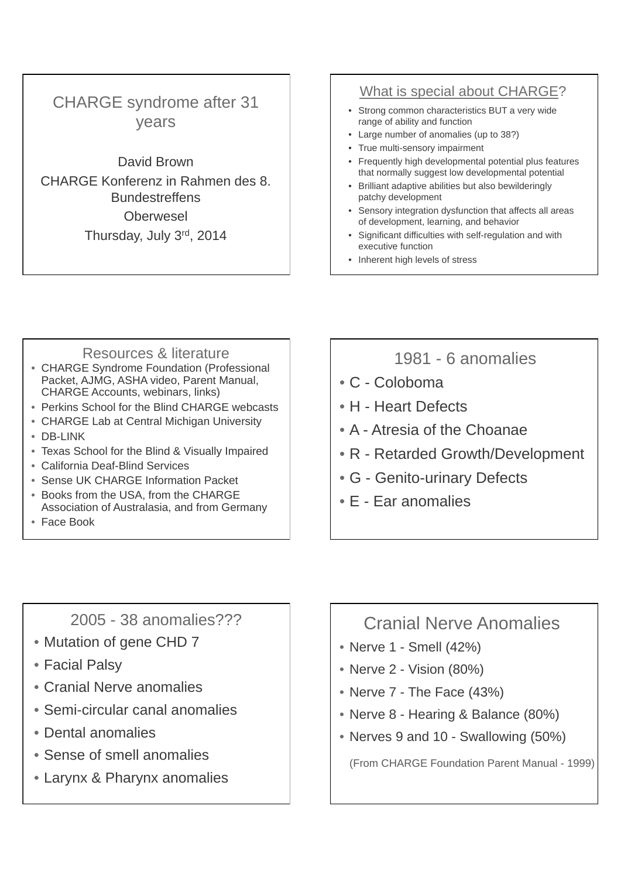# CHARGE syndrome after 31 years

David Brown CHARGE Konferenz in Rahmen des 8. Bundestreffens **Oberwesel** Thursday, July 3rd, 2014

# What is special about CHARGE?

- Strong common characteristics BUT a very wide range of ability and function
- Large number of anomalies (up to 38?)
- True multi-sensory impairment
- Frequently high developmental potential plus features that normally suggest low developmental potential
- Brilliant adaptive abilities but also bewilderingly patchy development
- Sensory integration dysfunction that affects all areas of development, learning, and behavior
- Significant difficulties with self-regulation and with executive function
- Inherent high levels of stress

- Resources & literature CHARGE Syndrome Foundation (Professional Packet, AJMG, ASHA video, Parent Manual, CHARGE Accounts, webinars, links)
- Perkins School for the Blind CHARGE webcasts
- CHARGE Lab at Central Michigan University • DB-LINK
- Texas School for the Blind & Visually Impaired
- California Deaf-Blind Services
- Sense UK CHARGE Information Packet
- Books from the USA, from the CHARGE Association of Australasia, and from Germany
- Face Book

# 1981 - 6 anomalies

- C Coloboma
- H Heart Defects
- A Atresia of the Choanae
- R Retarded Growth/Development
- G Genito-urinary Defects
- E Ear anomalies

2005 - 38 anomalies???

- Mutation of gene CHD 7
- Facial Palsy
- Cranial Nerve anomalies
- Semi-circular canal anomalies
- Dental anomalies
- Sense of smell anomalies
- Larynx & Pharynx anomalies

# Cranial Nerve Anomalies

- Nerve 1 Smell (42%)
- Nerve 2 Vision (80%)
- Nerve 7 The Face (43%)
- Nerve 8 Hearing & Balance (80%)
- Nerves 9 and 10 Swallowing (50%)

(From CHARGE Foundation Parent Manual - 1999)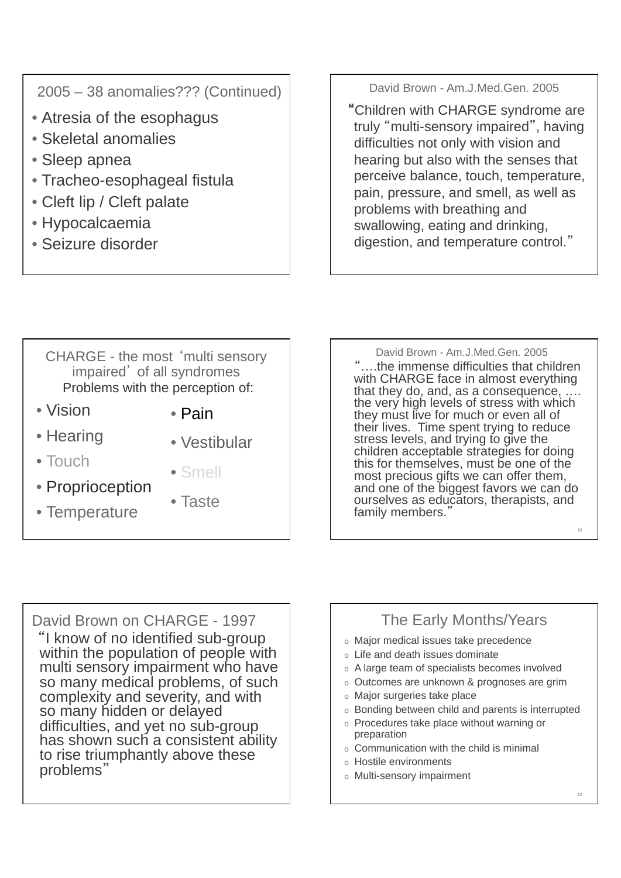2005 – 38 anomalies??? (Continued)

- Atresia of the esophagus
- Skeletal anomalies
- Sleep apnea
- Tracheo-esophageal fistula
- Cleft lip / Cleft palate
- Hypocalcaemia
- Seizure disorder

David Brown - Am.J.Med.Gen. 2005

Children with CHARGE syndrome are truly "multi-sensory impaired", having difficulties not only with vision and hearing but also with the senses that perceive balance, touch, temperature, pain, pressure, and smell, as well as problems with breathing and swallowing, eating and drinking, digestion, and temperature control.

# CHARGE - the most 'multi sensory impaired' of all syndromes Problems with the perception of:

- Vision
- Hearing
- Touch
- Smell

• Taste

• Vestibular

• Pain

- Proprioception
- Temperature

"....the immense difficulties that children with CHARGE face in almost everything that they do, and, as a consequence, . the very high levels of stress with which they must live for much or even all of their lives. Time spent trying to reduce stress levels, and trying to give the children acceptable strategies for doing this for themselves, must be one of the most precious gifts we can offer them,

and one of the biggest favors we can do ourselves as educators, therapists, and

David Brown - Am.J.Med.Gen. 2005

David Brown on CHARGE - 1997 "I know of no identified sub-group within the population of people with multi sensory impairment who have so many medical problems, of such complexity and severity, and with so many hidden or delayed difficulties, and yet no sub-group has shown such a consistent ability to rise triumphantly above these problems

# The Early Months/Years

- o Major medical issues take precedence
- o Life and death issues dominate
- o A large team of specialists becomes involved
- o Outcomes are unknown & prognoses are grim
- o Major surgeries take place

family members.

- o Bonding between child and parents is interrupted
- o Procedures take place without warning or preparation
- o Communication with the child is minimal
- o Hostile environments
- o Multi-sensory impairment

10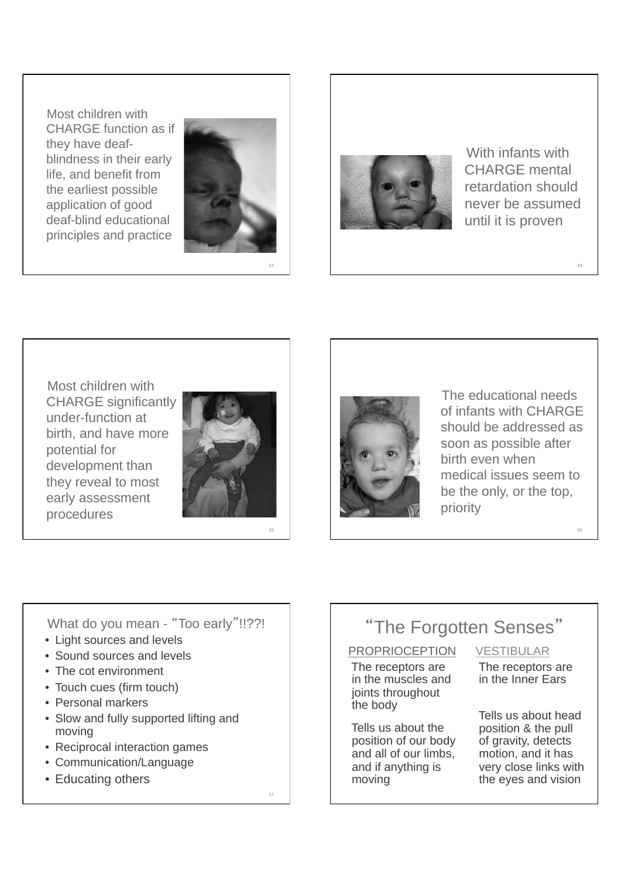Most children with CHARGE function as if they have deafblindness in their early life, and benefit from the earliest possible application of good deaf-blind educational principles and practice



13

15



 With infants with CHARGE mental retardation should never be assumed until it is proven

14

 Most children with CHARGE significantly under-function at birth, and have more potential for development than they reveal to most early assessment





 The educational needs of infants with CHARGE should be addressed as soon as possible after birth even when medical issues seem to be the only, or the top, priority

What do you mean - "Too early"!!??!

- Light sources and levels
- Sound sources and levels
- The cot environment
- Touch cues (firm touch)
- Personal markers
- Slow and fully supported lifting and moving
- Reciprocal interaction games
- Communication/Language
- Educating others

17

# "The Forgotten Senses"

# **PROPRIOCEPTION**

 The receptors are in the muscles and joints throughout the body

 Tells us about the position of our body and all of our limbs, and if anything is moving

# VESTIBULAR

 The receptors are in the Inner Ears

 Tells us about head position & the pull of gravity, detects motion, and it has very close links with the eyes and vision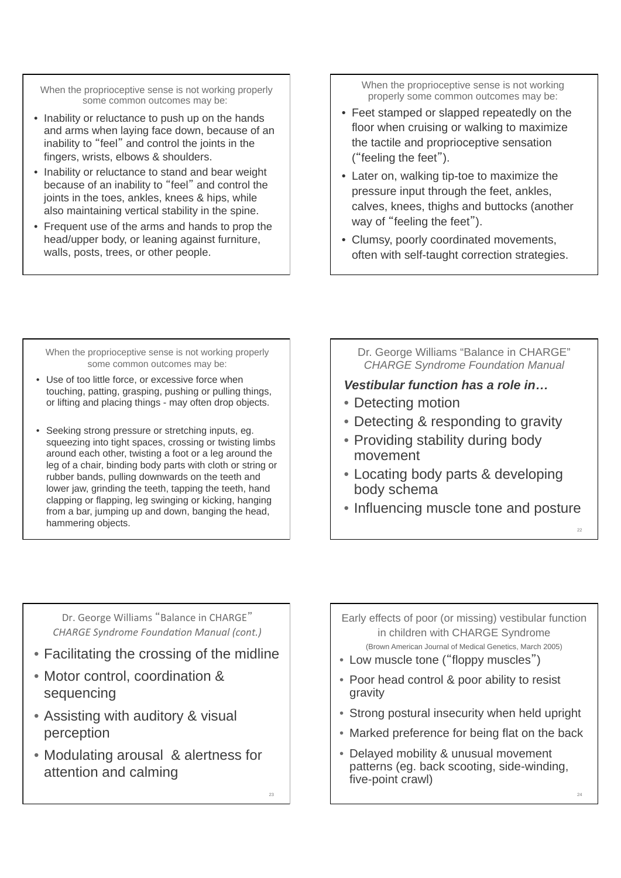When the proprioceptive sense is not working properly some common outcomes may be:

- Inability or reluctance to push up on the hands and arms when laying face down, because of an inability to "feel" and control the joints in the fingers, wrists, elbows & shoulders.
- Inability or reluctance to stand and bear weight because of an inability to "feel" and control the joints in the toes, ankles, knees & hips, while also maintaining vertical stability in the spine.
- Frequent use of the arms and hands to prop the head/upper body, or leaning against furniture, walls, posts, trees, or other people.

When the proprioceptive sense is not working properly some common outcomes may be:

- Feet stamped or slapped repeatedly on the floor when cruising or walking to maximize the tactile and proprioceptive sensation  $($ "feeling the feet" $).$
- Later on, walking tip-toe to maximize the pressure input through the feet, ankles, calves, knees, thighs and buttocks (another way of "feeling the feet").
- Clumsy, poorly coordinated movements, often with self-taught correction strategies.

When the proprioceptive sense is not working properly some common outcomes may be:

- Use of too little force, or excessive force when touching, patting, grasping, pushing or pulling things, or lifting and placing things - may often drop objects.
- Seeking strong pressure or stretching inputs, eg. squeezing into tight spaces, crossing or twisting limbs around each other, twisting a foot or a leg around the leg of a chair, binding body parts with cloth or string or rubber bands, pulling downwards on the teeth and lower jaw, grinding the teeth, tapping the teeth, hand clapping or flapping, leg swinging or kicking, hanging from a bar, jumping up and down, banging the head, hammering objects.

Dr. George Williams "Balance in CHARGE" *CHARGE Syndrome Foundation Manual* 

# *Vestibular function has a role in*

- Detecting motion
- Detecting & responding to gravity
- Providing stability during body movement
- Locating body parts & developing body schema
- Influencing muscle tone and posture

Dr. George Williams "Balance in CHARGE" **CHARGE Syndrome Foundation Manual (cont.)** 

- Facilitating the crossing of the midline
- Motor control, coordination & sequencing
- Assisting with auditory & visual perception
- Modulating arousal & alertness for attention and calming

Early effects of poor (or missing) vestibular function in children with CHARGE Syndrome (Brown American Journal of Medical Genetics, March 2005)

- Low muscle tone ("floppy muscles")
- Poor head control & poor ability to resist gravity
- Strong postural insecurity when held upright
- Marked preference for being flat on the back
- Delayed mobility & unusual movement patterns (eg. back scooting, side-winding, five-point crawl)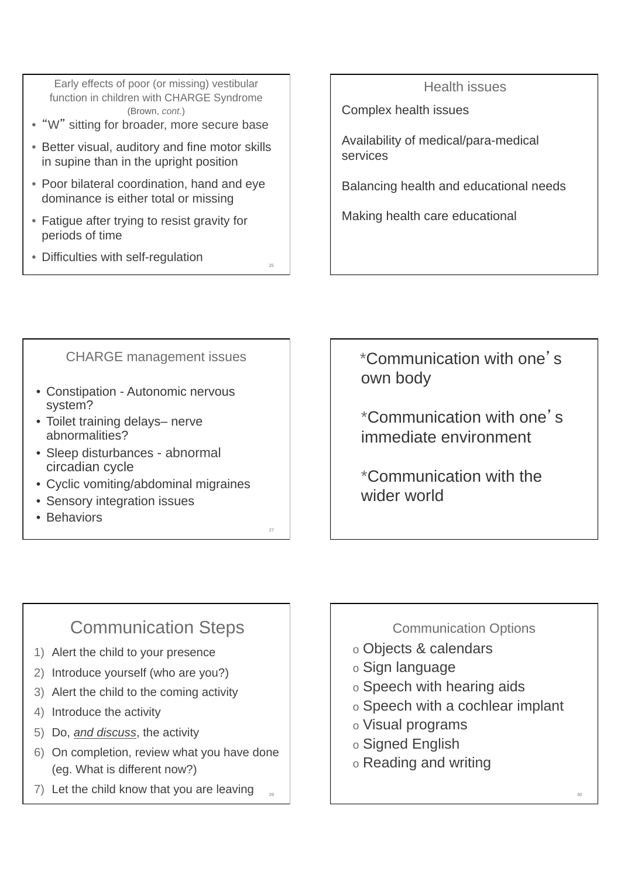Early effects of poor (or missing) vestibular function in children with CHARGE Syndrome (Brown, *cont.*)

- "W" sitting for broader, more secure base
- Better visual, auditory and fine motor skills in supine than in the upright position
- Poor bilateral coordination, hand and eye dominance is either total or missing
- Fatigue after trying to resist gravity for periods of time
- Difficulties with self-regulation

## Health issues

Complex health issues

Availability of medical/para-medical services

Balancing health and educational needs

Making health care educational

CHARGE management issues

25

27

- Constipation Autonomic nervous system?
- Toilet training delays– nerve abnormalities?
- Sleep disturbances abnormal circadian cycle
- Cyclic vomiting/abdominal migraines
- Sensory integration issues
- Behaviors

\*Communication with one's own body

*\**Communication with one's immediate environment

\*Communication with the wider world

# Communication Steps

- 1) Alert the child to your presence
- 2) Introduce yourself (who are you?)
- 3) Alert the child to the coming activity
- 4) Introduce the activity
- 5) Do, *and discuss*, the activity
- 6) On completion, review what you have done (eg. What is different now?)
- 29  $7)$  Let the child know that you are leaving

Communication Options

- o Objects & calendars
- o Sign language
- o Speech with hearing aids
- o Speech with a cochlear implant
- o Visual programs
- o Signed English
- o Reading and writing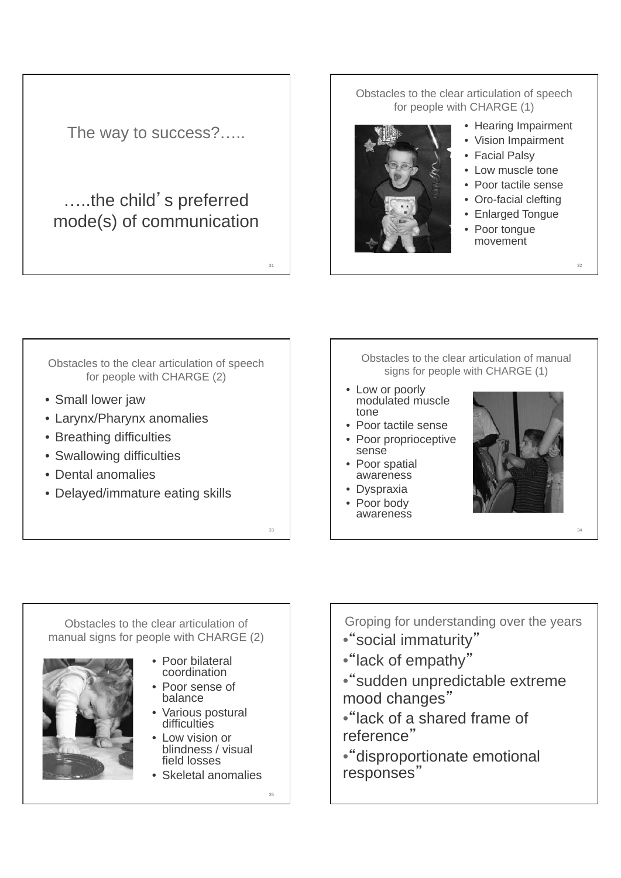

Obstacles to the clear articulation of speech for people with CHARGE (1)



- Hearing Impairment
- Vision Impairment
- Facial Palsy
- Low muscle tone
- Poor tactile sense
- Oro-facial clefting
- Enlarged Tongue

32

34

• Poor tongue movement

Obstacles to the clear articulation of speech for people with CHARGE (2)

- Small lower jaw
- Larynx/Pharynx anomalies
- Breathing difficulties
- Swallowing difficulties
- Dental anomalies
- Delayed/immature eating skills

Obstacles to the clear articulation of manual signs for people with CHARGE (1)

- Low or poorly modulated muscle tone
- Poor tactile sense
- Poor proprioceptive sense
- Poor spatial awareness
- Dyspraxia
- Poor body awareness



Obstacles to the clear articulation of manual signs for people with CHARGE (2)

- 
- Poor bilateral coordination
- Poor sense of balance
- Various postural difficulties
- Low vision or blindness / visual field losses
- Skeletal anomalies

35

33

Groping for understanding over the years

- "social immaturity"
- •"lack of empathy"
- "sudden unpredictable extreme mood changes
- •"lack of a shared frame of reference
- •disproportionate emotional responses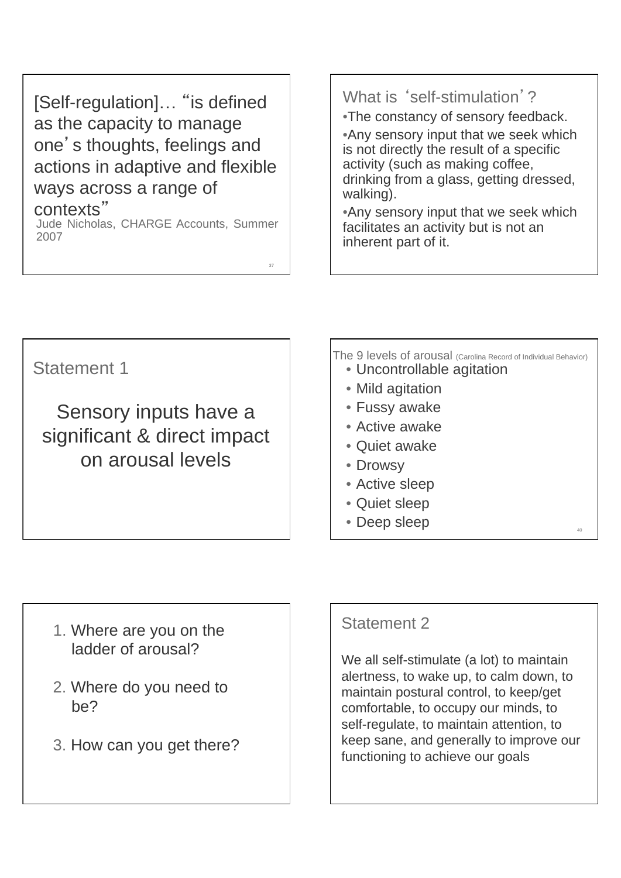[Self-regulation]... "is defined as the capacity to manage one's thoughts, feelings and actions in adaptive and flexible ways across a range of

**CONTEXTS"**<br>Jude Nicholas, CHARGE Accounts, Summer 2007

37

# What is 'self-stimulation'?

•The constancy of sensory feedback.

•Any sensory input that we seek which is not directly the result of a specific activity (such as making coffee, drinking from a glass, getting dressed, walking).

•Any sensory input that we seek which facilitates an activity but is not an inherent part of it.

Statement 1

Sensory inputs have a significant & direct impact on arousal levels

The 9 levels of arousal (Carolina Record of Individual Behavior) • Uncontrollable agitation

40

- 
- Mild agitation
- Fussy awake
- Active awake
- Quiet awake
- Drowsy
- Active sleep
- Quiet sleep
- Deep sleep

- 1. Where are you on the ladder of arousal?
- 2. Where do you need to be?
- 3. How can you get there?

# Statement 2

We all self-stimulate (a lot) to maintain alertness, to wake up, to calm down, to maintain postural control, to keep/get comfortable, to occupy our minds, to self-regulate, to maintain attention, to keep sane, and generally to improve our functioning to achieve our goals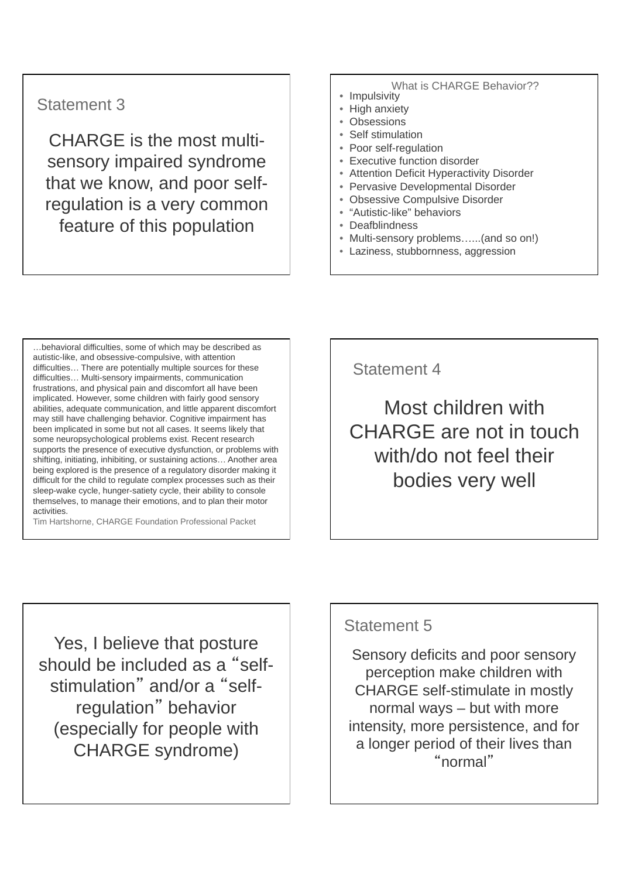# Statement 3

CHARGE is the most multisensory impaired syndrome that we know, and poor selfregulation is a very common feature of this population

# What is CHARGE Behavior??<br>• Impulsivity

- 
- High anxiety
- Obsessions
- Self stimulation
- Poor self-regulation
- Executive function disorder
- Attention Deficit Hyperactivity Disorder
- Pervasive Developmental Disorder
- Obsessive Compulsive Disorder
- "Autistic-like" behaviors
- Deafblindness
- Multi-sensory problems...(and so on!)
- Laziness, stubbornness, aggression

...behavioral difficulties, some of which may be described as autistic-like, and obsessive-compulsive, with attention difficulties... There are potentially multiple sources for these difficulties... Multi-sensory impairments, communication frustrations, and physical pain and discomfort all have been implicated. However, some children with fairly good sensory abilities, adequate communication, and little apparent discomfort may still have challenging behavior. Cognitive impairment has been implicated in some but not all cases. It seems likely that some neuropsychological problems exist. Recent research supports the presence of executive dysfunction, or problems with shifting, initiating, inhibiting, or sustaining actions... Another area being explored is the presence of a regulatory disorder making it difficult for the child to regulate complex processes such as their sleep-wake cycle, hunger-satiety cycle, their ability to console themselves, to manage their emotions, and to plan their motor activities.

Tim Hartshorne, CHARGE Foundation Professional Packet

Statement 4

Most children with CHARGE are not in touch with/do not feel their bodies very well

Yes, I believe that posture should be included as a "selfstimulation" and/or a "selfregulation" behavior (especially for people with CHARGE syndrome)

# Statement 5

Sensory deficits and poor sensory perception make children with CHARGE self-stimulate in mostly normal ways – but with more intensity, more persistence, and for a longer period of their lives than normal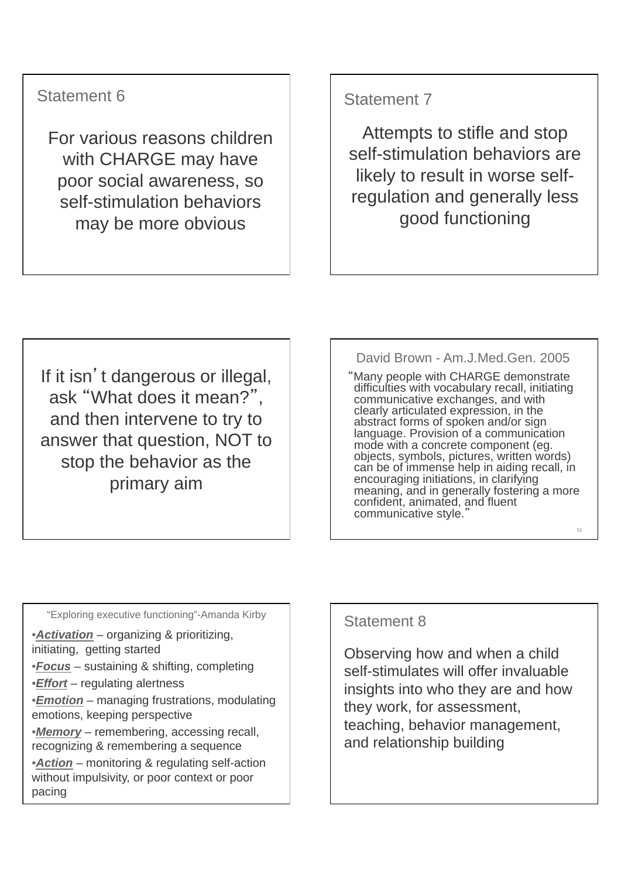# Statement 6

For various reasons children with CHARGE may have poor social awareness, so self-stimulation behaviors may be more obvious

# Statement 7

Attempts to stifle and stop self-stimulation behaviors are likely to result in worse selfregulation and generally less good functioning

If it isn't dangerous or illegal, ask "What does it mean?", and then intervene to try to answer that question, NOT to stop the behavior as the primary aim

David Brown - Am.J.Med.Gen. 2005

Many people with CHARGE demonstrate difficulties with vocabulary recall, initiating communicative exchanges, and with clearly articulated expression, in the abstract forms of spoken and/or sign language. Provision of a communication mode with a concrete component (eg. objects, symbols, pictures, written words) can be of immense help in aiding recall, in encouraging initiations, in clarifying meaning, and in generally fostering a more confident, animated, and fluent communicative style.

52

"Exploring executive functioning"-Amanda Kirby

•*Activation* – organizing & prioritizing, initiating, getting started

- •*Focus* sustaining & shifting, completing
- •*Effort* regulating alertness
- •*Emotion* managing frustrations, modulating emotions, keeping perspective

•*Memory* – remembering, accessing recall, recognizing & remembering a sequence

•*Action* – monitoring & regulating self-action without impulsivity, or poor context or poor pacing

# Statement 8

Observing how and when a child self-stimulates will offer invaluable insights into who they are and how they work, for assessment, teaching, behavior management, and relationship building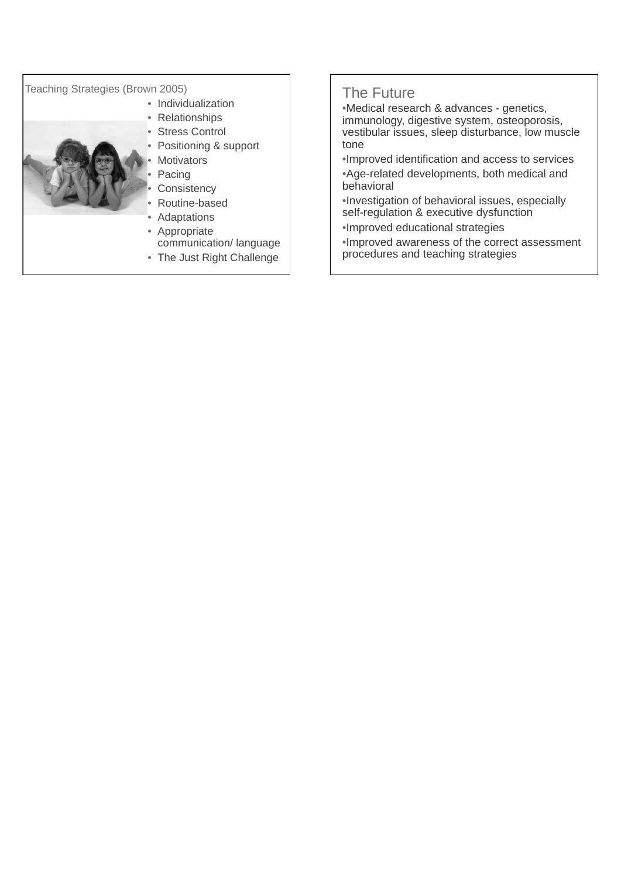### Teaching Strategies (Brown 2005)

- Individualization
	- Relationships
	- Stress Control
	- Positioning & support
	- **Motivators**
	- **Pacing**
	- **Consistency**
	- Routine-based
	- **Adaptations**
	- **Appropriate** communication/ language
	- The Just Right Challenge

# The Future

•Medical research & advances - genetics, immunology, digestive system, osteoporosis, vestibular issues, sleep disturbance, low muscle tone

•Improved identification and access to services •Age-related developments, both medical and behavioral

•Investigation of behavioral issues, especially self-regulation & executive dysfunction

•Improved educational strategies

•Improved awareness of the correct assessment procedures and teaching strategies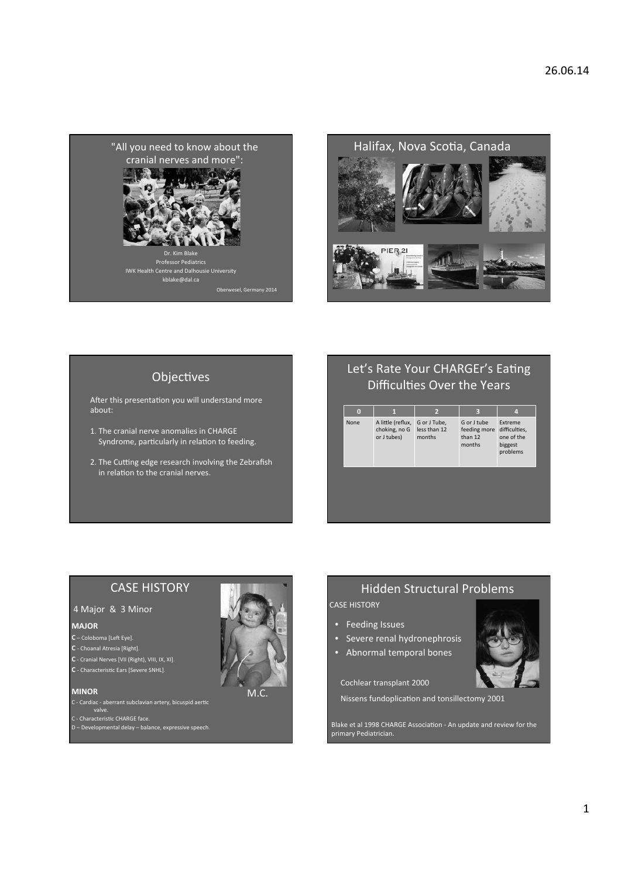



### Objectives

After this presentation you will understand more about:

- 1. The cranial nerve anomalies in CHARGE Syndrome, particularly in relation to feeding.
- 2. The Cutting edge research involving the Zebrafish in relation to the cranial nerves.

# Let's Rate Your CHARGEr's Eating Difficulties Over the Years

# **CASE HISTORY**

### 4 Major & 3 Minor

#### **MAJOR**

- $C -$ Coloboma [Left Eye].<br> $C -$ Choanal Atresia [Right].
- 
- C Cranial Nerves [VII (Right), VIII, IX, XI].
- C Characteristic Ears [Severe SNHL].

#### **MINOR**

C - Cardiac - aberrant subclavian artery, bicuspid aertic

C-Caruiac - aberrant Superiors<br>C - Characteristic CHARGE face.<br>D - Developmental delay - balance, expressive speech.



# **Hidden Structural Problems**

**CASE HISTORY** 

- Feeding Issues
- Severe renal hydronephrosis
- Abnormal temporal bones

Cochlear transplant 2000

Nissens fundoplication and tonsillectomy 2001



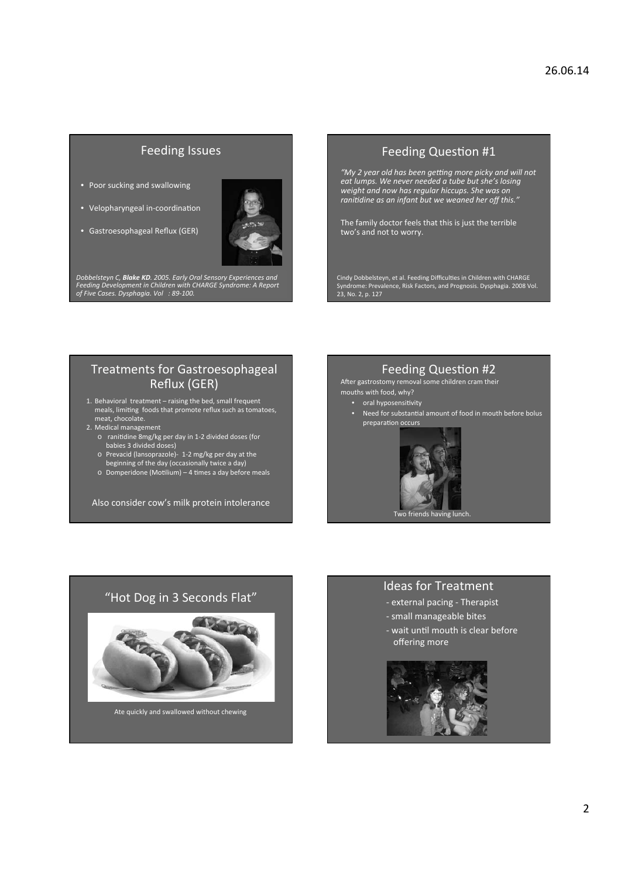### **Feeding Issues**

- Poor sucking and swallowing
- Velopharyngeal in-coordination
- Gastroesophageal Reflux (GER)



Dobbelsteyn C, **Blake KD**. 2005. Early Oral Sensory Experiences and<br>Feeding Development in Children with CHARGE Syndrome: A Report<br>of Five Cases. Dysphagia. Vol : 89-100.

### Feeding Question #1

"My 2 year old has been getting more picky and will not ext lumps. We never needed a tube but she's losing<br>weight and now has regular hiccups. She was on ranitidine as an infant but we weaned her off this."

The family doctor feels that this is just the terrible<br>two's and not to worry.

Cindy Dobbelsteyn, et al. Feeding Difficulties in Children with CHARGE<br>Syndrome: Prevalence, Risk Factors, and Prognosis. Dysphagia. 2008 Vol.<br>23, No. 2, p. 127

### **Treatments for Gastroesophageal** Reflux (GER)

- 1. Behavioral treatment raising the bed, small frequent<br>meals, limiting foods that promote reflux such as tomatoes,<br>meat, chocolate.
- -
- Theat, chocolate.<br>
2. Medical management<br>
∴ o ranitidine 8mg/kg per day in 1-2 divided doses (for<br>
babies 3 divided doses)<br>
∴ o Prevacid (lansoprazole)- 1-2 mg/kg per day at the
	- beginning of the day (occasionally twice a day)<br>
	o Domperidone (Motilium) 4 times a day before meals
	-

Also consider cow's milk protein intolerance

### **Feeding Question #2**

After gastrostomy removal some children cram their mouths with food, why?

- 
- oral hyposensitivity<br>• Need for substantial amount of food in mouth before bolus preparation occurs



### "Hot Dog in 3 Seconds Flat"



Ate quickly and swallowed without chewing

### **Ideas for Treatment**

- external pacing - Therapist - small manageable bites

- 
- wait until mouth is clear before offering more

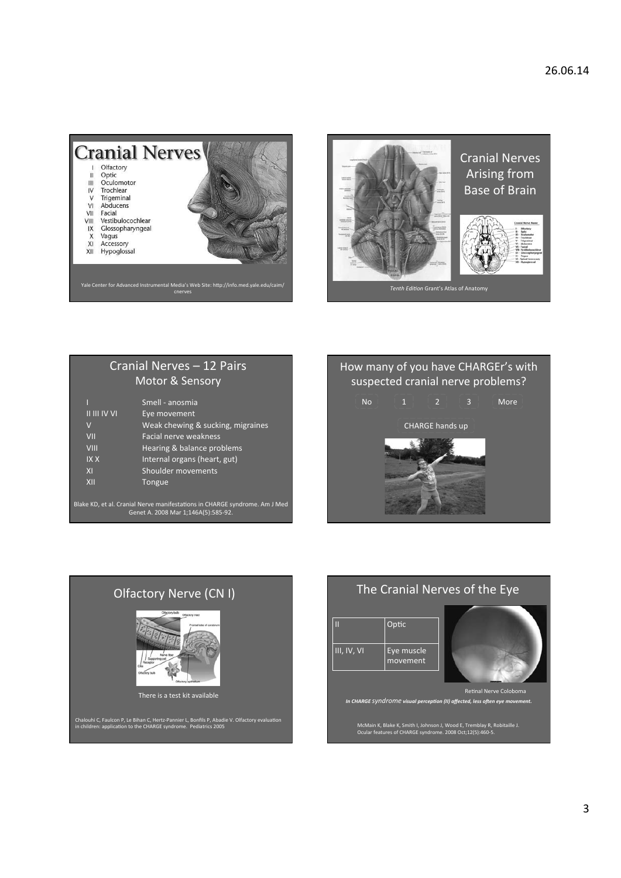



# Cranial Nerves - 12 Pairs Motor & Sensory

|                  | Smell - anosmia                   |
|------------------|-----------------------------------|
| $'$ II III IV VI | Eye movement                      |
| $\vee$           | Weak chewing & sucking, migraines |
| VII              | Facial nerve weakness             |
| VIII             | Hearing & balance problems        |
| <b>IXX</b>       | Internal organs (heart, gut)      |
| XI               | Shoulder movements                |
| XII              | Tongue                            |
|                  |                                   |

Blake KD, et al. Cranial Nerve manifestations in CHARGE syndrome. Am J Med<br>Genet A. 2008 Mar 1;146A(5):585-92.





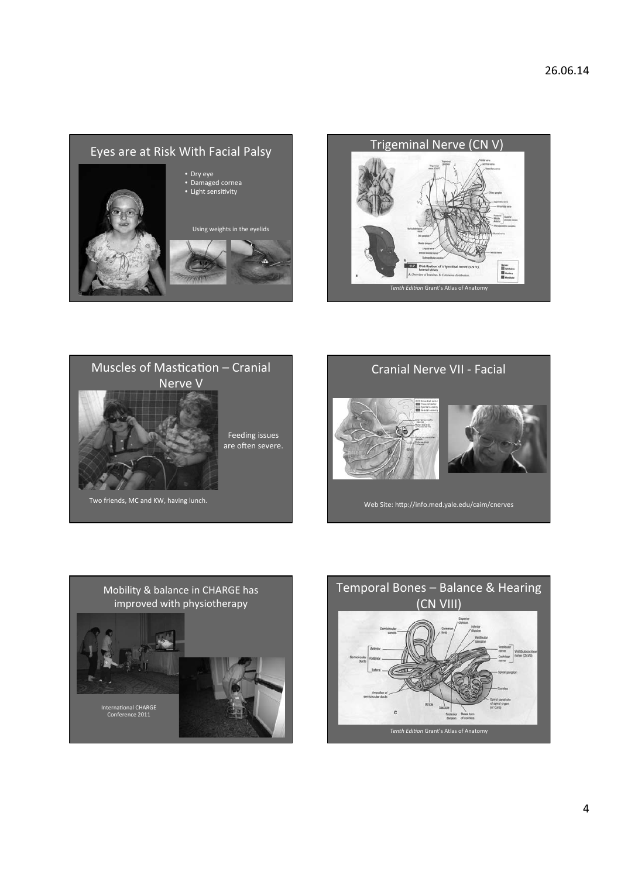





Feeding issues

are often severe.

Two friends, MC and KW, having lunch.

**Cranial Nerve VII - Facial** 





Web Site: http://info.med.yale.edu/caim/cnerves



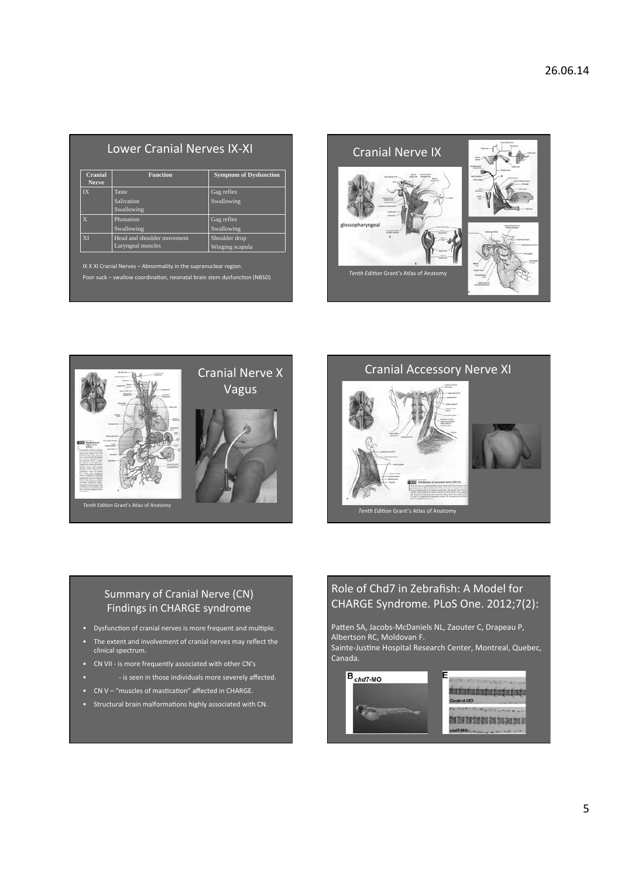| Cranial<br><b>Nerve</b>                                                                                                                      | <b>Function</b>                                 | <b>Symptom of Dysfunction</b>    |  |  |  |
|----------------------------------------------------------------------------------------------------------------------------------------------|-------------------------------------------------|----------------------------------|--|--|--|
| $\overline{\mathbf{I}}\mathbf{X}$                                                                                                            | <b>Taste</b>                                    | Gag reflex                       |  |  |  |
|                                                                                                                                              | Salivation<br>Swallowing                        | Swallowing                       |  |  |  |
| $\overline{X}$                                                                                                                               | Phonation<br>Swallowing                         | Gag reflex<br>Swallowing         |  |  |  |
| <b>XI</b>                                                                                                                                    | Head and shoulder movement<br>Laryngeal muscles | Shoulder drop<br>Winging scapula |  |  |  |
| IX X XI Cranial Nerves - Abnormality in the supranuclear region.<br>Poor suck - swallow coordination, neonatal brain stem dysfunction (NBSD) |                                                 |                                  |  |  |  |





### **Cranial Accessory Nerve XI**



### Summary of Cranial Nerve (CN) Findings in CHARGE syndrome

- Dysfunction of cranial nerves is more frequent and multiple.
- The extent and involvement of cranial nerves may reflect the<br>clinical spectrum.
- CN VII is more frequently associated with other CN's
- is seen in those individuals more severely affected.
- CN V "muscles of mastication" affected in CHARGE.
- Structural brain malformations highly associated with CN.

# Role of Chd7 in Zebrafish: A Model for CHARGE Syndrome. PLoS One. 2012;7(2):

Patten SA, Jacobs-McDaniels NL, Zaouter C, Drapeau P,<br>Albertson RC, Moldovan F.

Sainte-Justine Hospital Research Center, Montreal, Quebec, Canada.

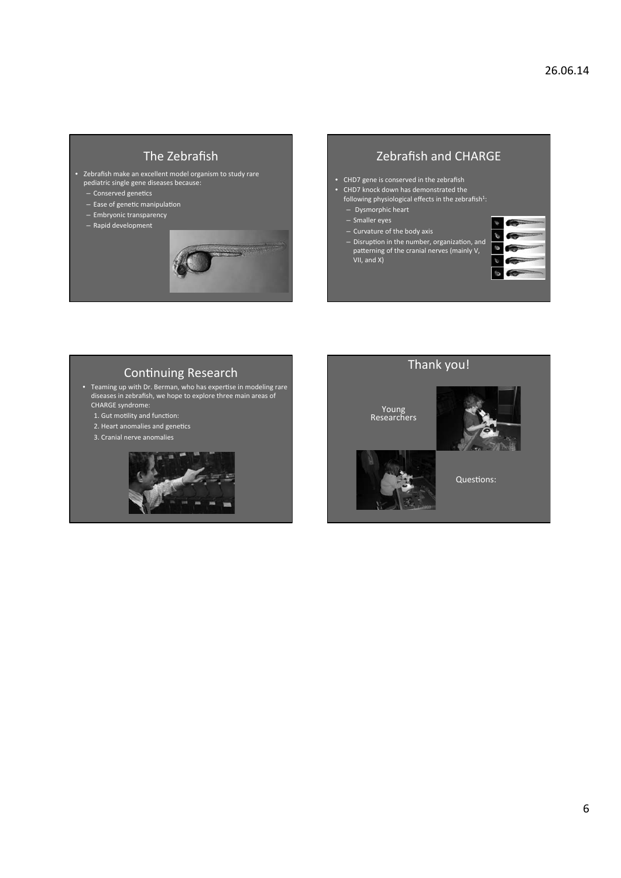## The Zebrafish

- Zebrafish make an excellent model organism to study rare pediatric single gene diseases because:
	- Conserved genetics
	- Ease of genetic manipulation
	- Embryonic transparency
	- $-$  Rapid development



# Zebrafish and CHARGE

- CHD7 gene is conserved in the zebrafish
- CHD7 knock down has demonstrated the
- following physiological effects in the zebrafish<sup>1</sup>:
- Dysmorphic heart
- Smaller eyes
- Curvature of the body axis
- Disruption in the number, organization, and patterning of the cranial nerves (mainly V, VII, and X)



# Continuing Research

• Teaming up with Dr. Berman, who has expertise in modeling rare diseases in zebrafish, we hope to explore three main areas of CHARGE syndrome:

- 1. Gut motility and function:
- 2. Heart anomalies and genetics
- 3. Cranial nerve anomalies



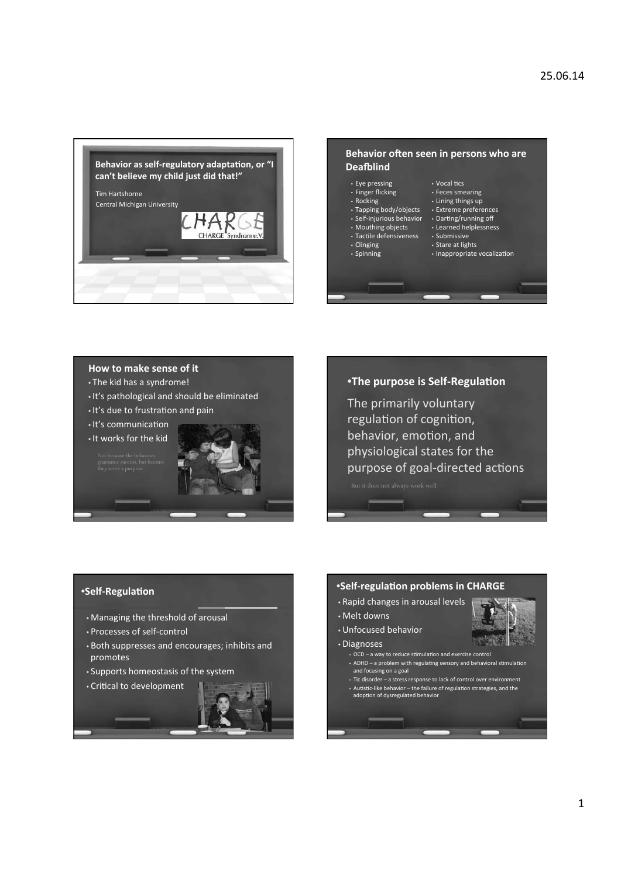



#### How to make sense of it

- The kid has a syndrome!
- It's pathological and should be eliminated
- . It's due to frustration and pain
- It's communication

. It works for the kid





The primarily voluntary regulation of cognition, behavior, emotion, and physiological states for the purpose of goal-directed actions

•Self-Regulation

- 
- Managing the threshold of arousal
- Processes of self-control
- Both suppresses and encourages; inhibits and promotes
- Supports homeostasis of the system



### \*Self-regulation problems in CHARGE

- Rapid changes in arousal levels
- · Melt downs
- Unfocused behavior
- · Diagnoses
	- OCD a way to reduce stimulation and exercise control • ADHD - a problem with regulating sensory and behavioral stimulation and focusing on a goal
	- Tic disorder a stress response to lack of control over environment<br>• Autistic-like behavior the failure of regulation strategies, and the<br>adoption of dysregulated behavior
	-

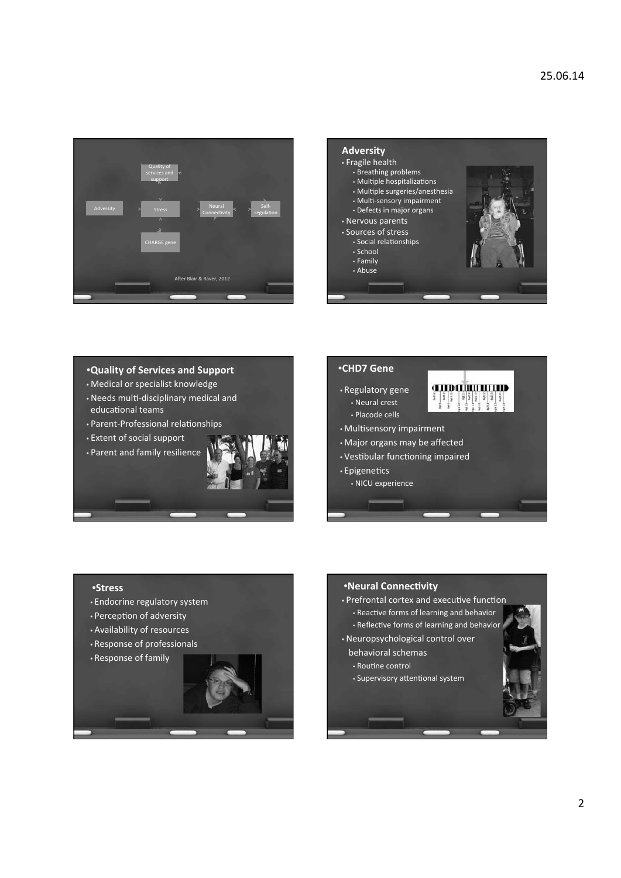



**THE CHILD THE TELEPHONY** 

#### **.Quality of Services and Support**

- Medical or specialist knowledge
- . Needs multi-disciplinary medical and educational teams
- Parent-Professional relationships
- Extent of social support
- Parent and family resilience

#### •CHD7 Gene

- Regulatory gene
	- Neural crest · Placode cells
- Multisensory impairment
- Major organs may be affected
- Vestibular functioning impaired
- Epigenetics
	- · NICU experience

- **•Stress**
- Endocrine regulatory system
- Perception of adversity
- Availability of resources
- Response of professionals
- Response of family



## •Neural Connectivity • Prefrontal cortex and executive function

- Reactive forms of learning and behavior • Reflective forms of learning and behavior
- Neuropsychological control over
- behavioral schemas
	- · Routine control
	- Supervisory attentional system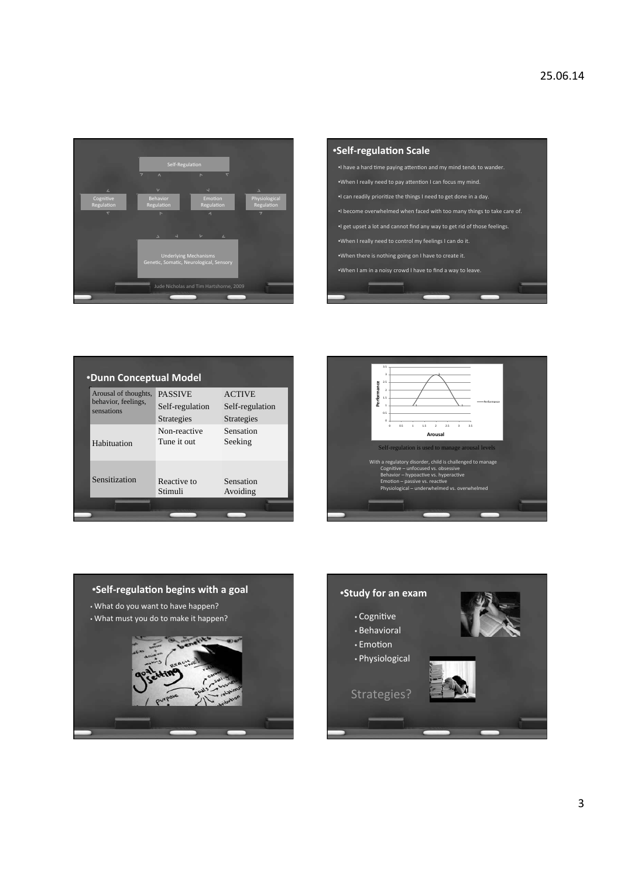

| <b>•Self-regulation Scale</b>                                            |  |  |  |  |
|--------------------------------------------------------------------------|--|--|--|--|
| . I have a hard time paying attention and my mind tends to wander.       |  |  |  |  |
| .When I really need to pay attention I can focus my mind.                |  |  |  |  |
| . I can readily prioritize the things I need to get done in a day.       |  |  |  |  |
| . I become overwhelmed when faced with too many things to take care of.  |  |  |  |  |
| •I get upset a lot and cannot find any way to get rid of those feelings. |  |  |  |  |
| .When I really need to control my feelings I can do it.                  |  |  |  |  |
| .When there is nothing going on I have to create it.                     |  |  |  |  |
| .When I am in a noisy crowd I have to find a way to leave.               |  |  |  |  |
|                                                                          |  |  |  |  |
|                                                                          |  |  |  |  |

| •Dunn Conceptual Model                                    |                                                 |                                                |  |  |
|-----------------------------------------------------------|-------------------------------------------------|------------------------------------------------|--|--|
| Arousal of thoughts,<br>behavior, feelings,<br>sensations | <b>PASSIVE</b><br>Self-regulation<br>Strategies | <b>ACTIVE</b><br>Self-regulation<br>Strategies |  |  |
| Habituation                                               | Non-reactive<br>Tune it out                     | Sensation<br>Seeking                           |  |  |
| Sensitization                                             | Reactive to<br>Stimuli                          | Sensation<br>Avoiding                          |  |  |
|                                                           |                                                 |                                                |  |  |





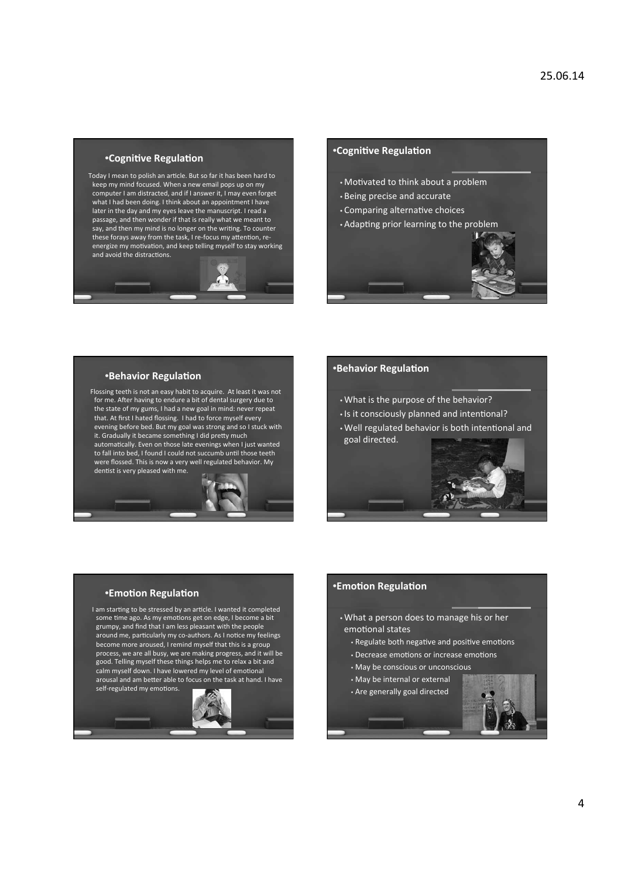#### *•Cognitive Regulation*

Today I mean to polish an article. But so far it has been hard to keep my mind focused. When a new email pops up on my computer I am distracted, and if I answer it, I may even forget what I had been doing. I think about an appointment I have later in the day and my eyes leave the manuscript. I read a<br>passage, and then wonder if that is really what we meant to say, and then my mind is no longer on the writing. To counter these forays away from the task, I re-focus my attention, reenergize my motivation, and keep telling myself to stay working and avoid the distractions.



#### *•Cognitive Regulation*

- Motivated to think about a problem
- Being precise and accurate
- Comparing alternative choices
- Adapting prior learning to the problem



#### \*Behavior Regulation

Flossing teeth is not an easy habit to acquire. At least it was not for me. After having to endure a bit of dental surgery due to the state of my gums, I had a new goal in mind: never repeat that. At first I hated flossing. I had to force myself every evening before bed. But my goal was strong and so I stuck with<br>it. Gradually it became something I did pretty much automatically. Even on those late evenings when I just wanted to fall into bed, I found I could not succumb until those teeth were flossed. This is now a very well regulated behavior. My dentist is very pleased with me.



- . What is the purpose of the behavior?
- Is it consciously planned and intentional?
- . Well regulated behavior is both intentional and goal directed.



#### \*Emotion Regulation

I am starting to be stressed by an article. I wanted it completed some time ago. As my emotions get on edge, I become a bit grumpy, and find that I am less pleasant with the people around me, particularly my co-authors. As I notice my feelings become more aroused, I remind myself that this is a group process, we are all busy, we are making progress, and it will be good. Telling myself these things helps me to relax a bit and calm myself down. I have lowered my level of emotional arousal and am better able to focus on the task at hand. I have



### **\*Emotion Regulation**

- . What a person does to manage his or her emotional states
	- Regulate both negative and positive emotions
	- Decrease emotions or increase emotions
	- May be conscious or unconscious
	- May be internal or external
- . Are generally goal directed

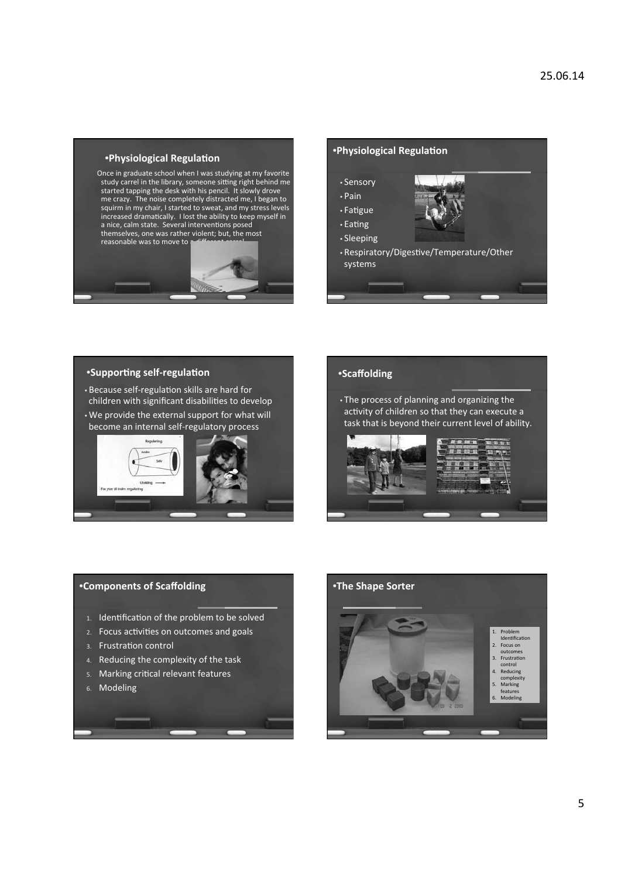

Once in graduate school when I was studying at my favorite study carrel in the library, someone sitting right behind me<br>study carrel in the library, someone sitting right behind me<br>started tapping the desk with his pencil. It slowly drove me crazy. The noise completely distracted me, I began to squirm in my chair, I started to sweat, and my stress levels Summaring chains the ability to keep myself in<br>a nice, calm state. Several interventions posed themselves, one was rather violent; but, the most reasonable was to move to





### •Supporting self-regulation

- Because self-regulation skills are hard for children with significant disabilities to develop
- . We provide the external support for what will become an internal self-regulatory process



#### **•Scaffolding**

. The process of planning and organizing the activity of children so that they can execute a task that is beyond their current level of ability.



# \*Components of Scaffolding 1. Identification of the problem to be solved 2. Focus activities on outcomes and goals 3. Frustration control 4. Reducing the complexity of the task 5. Marking critical relevant features 6. Modeling

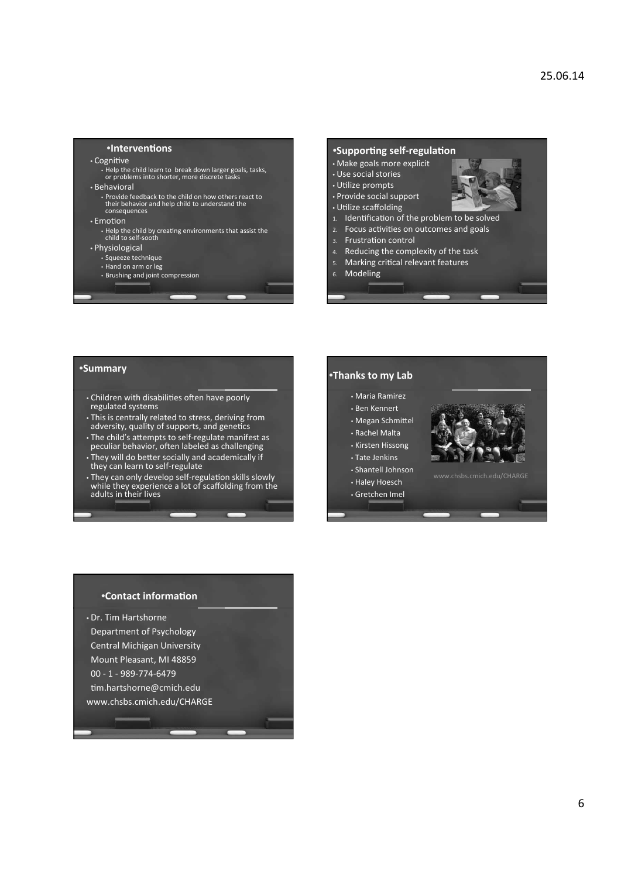#### *•Interventions*

#### • Cognitive

Britter<br>Help the child learn to break down larger goals, tasks,<br>or problems into shorter, more discrete tasks

#### • Behavioral

• Provide feedback to the child on how others react to<br>their behavior and help child to understand the<br>consequences

#### $\cdot$  Emotion

Help the child by creating environments that assist the<br>child to self-sooth

- Physiological
	- · Squeeze technique
	- Hand on arm or leg • Brushing and joint compression
	-

### \*Supporting self-regulation

- Make goals more explicit
- · Use social stories
- Utilize prompts
- Provide social support
- Utilize scaffolding
- 1. Identification of the problem to be solved
- 2. Focus activities on outcomes and goals
- Frustration control
- Reducing the complexity of the task
- Marking critical relevant features
- 6. Modeling

#### *•Summary*

- Children with disabilities often have poorly regulated systems
- . This is centrally related to stress, deriving from adversity, quality of supports, and genetics
- The child's attempts to self-regulate manifest as<br>peculiar behavior, often labeled as challenging
- . They will do better socially and academically if<br>they can learn to self-regulate
- They can only develop self-regulation skills slowly<br>while they experience a lot of scaffolding from the<br>adults in their lives

### •Thanks to my Lab • Maria Ramirez • Ben Kennert

- Megan Schmittel
- 
- Rachel Malta
- Kirsten Hissong
- Tate Jenkins
- Shantell Johnson
- Haley Hoesch
- · Gretchen Imel



#### •Contact information

• Dr. Tim Hartshorne Department of Psychology Central Michigan University Mount Pleasant, MI 48859  $00 - 1 - 989 - 774 - 6479$ tim.hartshorne@cmich.edu www.chsbs.cmich.edu/CHARGE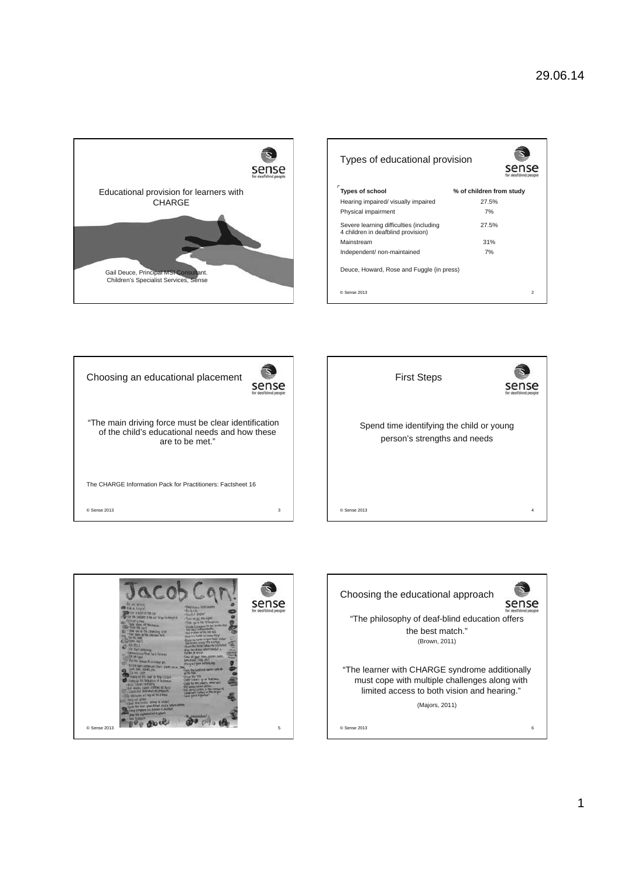

| Types of educational provision                                                |                          |
|-------------------------------------------------------------------------------|--------------------------|
| c<br>Types of school                                                          | % of children from study |
| Hearing impaired/ visually impaired                                           | 27.5%                    |
| Physical impairment                                                           | 7%                       |
| Severe learning difficulties (including<br>4 children in deafblind provision) | 27.5%                    |
| Mainstream                                                                    | 31%                      |
| Independent/non-maintained                                                    | 7%                       |
| Deuce, Howard, Rose and Fuggle (in press)                                     |                          |
| C Sense 2013                                                                  | $\mathfrak{p}$           |







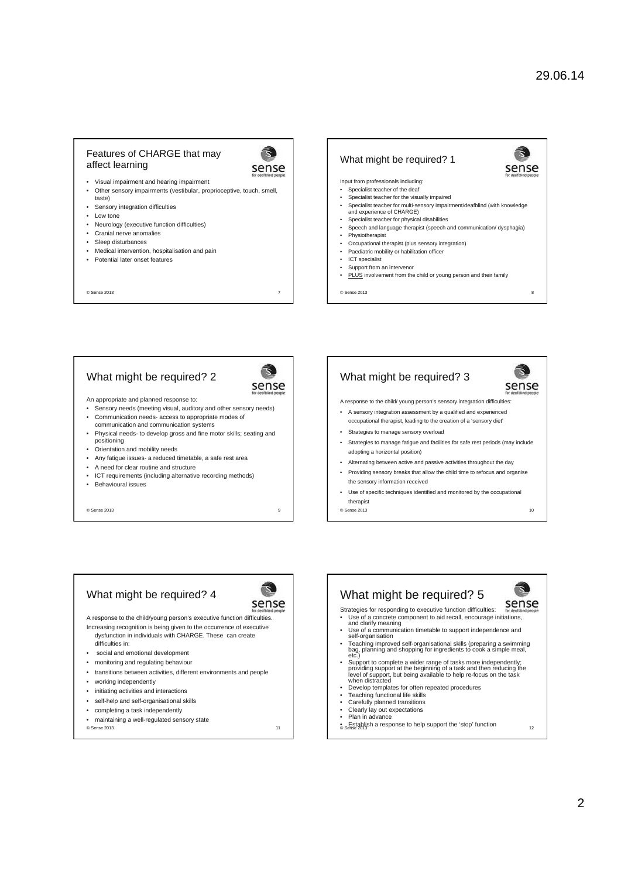sense

2

 $\overline{z}$ 

#### Features of CHARGE that may affect learning



- Visual impairment and hearing impairment • Other sensory impairments (vestibular, proprioceptive, touch, smell,
- taste)
- Sensory integration difficulties
- Low tone
- Neurology (executive function difficulties)
- Cranial nerve anomalies
- Sleep disturbances • Medical intervention, hospitalisation and pain
- Potential later onset features

© Sense 2013 7

#### What might be required? 1

Input from professionals including:

- Specialist teacher of the deaf
- Specialist teacher for the visually impaired • Specialist teacher for multi-sensory impairment/deafblind (with knowledge and experience of CHARGE)
- Specialist teacher for physical disabilities
- Speech and language therapist (speech and communication/ dysphagia)
- **Physiotherapist**
- Occupational therapist (plus sensory integration) Paediatric mobility or habilitation officer
- ICT specialist
- Support from an intervenor
- PLUS involvement from the child or young person and their family
- © Sense 2013 8

### What might be required? 2



An appropriate and planned response to:

- Sensory needs (meeting visual, auditory and other sensory needs) • Communication needs- access to appropriate modes of
- communication and communication systems • Physical needs- to develop gross and fine motor skills; seating and
- positioning
- Orientation and mobility needs
- Any fatigue issues- a reduced timetable, a safe rest area
- A need for clear routine and structure
- ICT requirements (including alternative recording methods)
- Behavioural issues

© Sense 2013 9

#### What might be required? 3 sense A response to the child/ young person's sensory integration difficulties: • A sensory integration assessment by a qualified and experienced occupational therapist, leading to the creation of a 'sensory diet'

- Strategies to manage sensory overload
- Strategies to manage fatigue and facilities for safe rest periods (may include adopting a horizontal position)
- Alternating between active and passive activities throughout the day
- Providing sensory breaks that allow the child time to refocus and organise the sensory information received
- Use of specific techniques identified and monitored by the occupational therapist

© Sense 2013 10

# What might be required? 4

sense A response to the child/young person's executive function difficulties.

- Increasing recognition is being given to the occurrence of executive dysfunction in individuals with CHARGE. These can create
- difficulties in:
- social and emotional development
- monitoring and regulating behaviour
- transitions between activities, different environments and people
- working independently
- initiating activities and interactions
- self-help and self-organisational skills
- completing a task independently
- maintaining a well-regulated sensory state

© Sense 2013 11

- What might be required? 5 sense Strategies for responding to executive function difficulties: • Use of a concrete component to aid recall, encourage initiations, and clarify meaning
- Use of a communication timetable to support independence and self-organisation
- Teaching improved self-organisational skills (preparing a swimming bag, planning and shopping for ingredients to cook a simple meal, etc.)
- Support to complete a wider range of tasks more independently; providing support at the beginning of a task and then reducing the level of support, but being available to help re-focus on the task when distracted
- Develop templates for often repeated procedures
- Teaching functional life skills
- Carefully planned transitions
- Clearly lay out expectations • Plan in advance
- **•** Establish a response to help support the 'stop' function<br>© Sense 2013